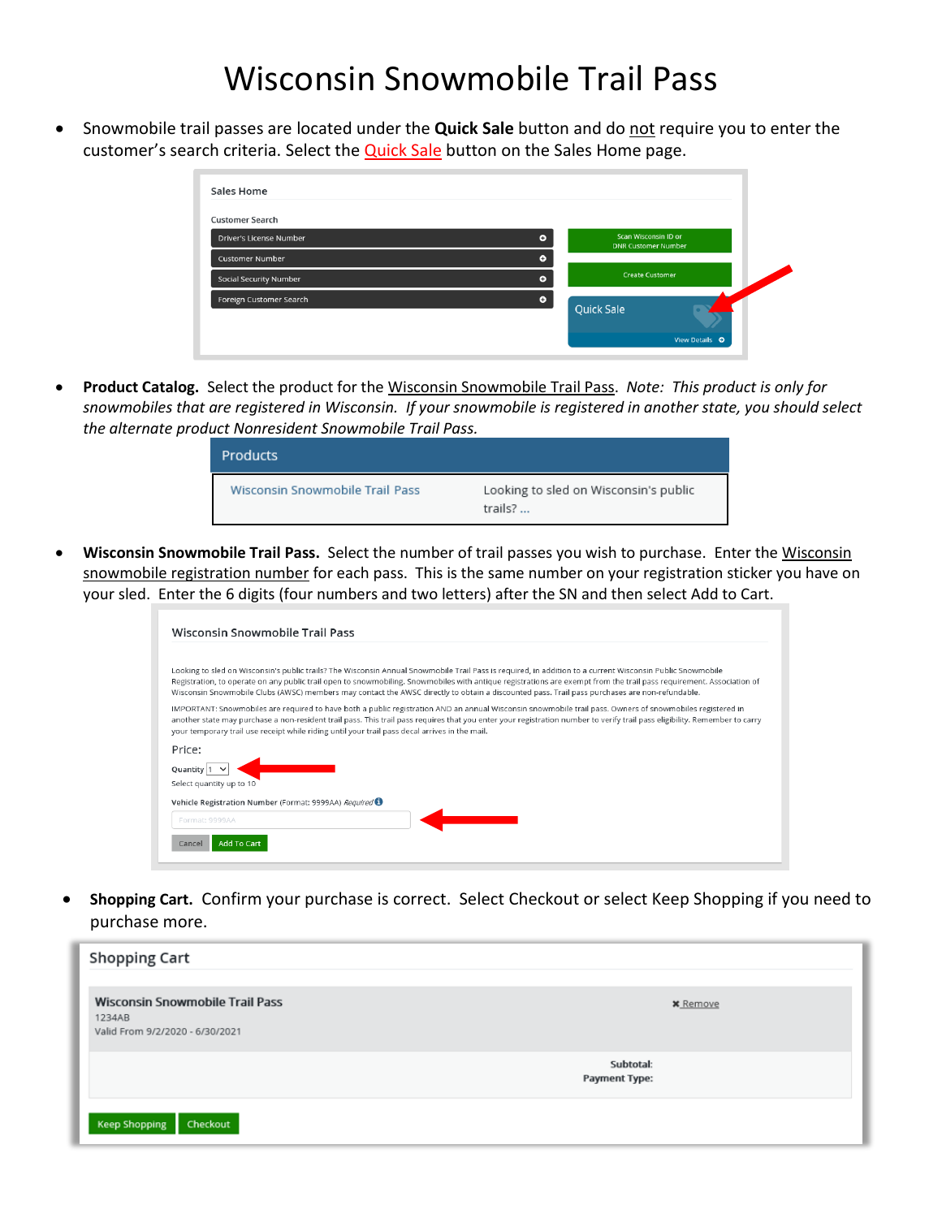## Wisconsin Snowmobile Trail Pass

• Snowmobile trail passes are located under the **Quick Sale** button and do not require you to enter the customer's search criteria. Select the **Quick Sale** button on the Sales Home page.

| Sales Home              |           |                                                    |                       |  |
|-------------------------|-----------|----------------------------------------------------|-----------------------|--|
| <b>Customer Search</b>  |           |                                                    |                       |  |
| Driver's License Number | $\bullet$ | Scan Wisconsin ID or<br><b>DNR Customer Number</b> |                       |  |
| <b>Customer Number</b>  | $\bullet$ |                                                    |                       |  |
| Social Security Number  | $\bullet$ | <b>Create Customer</b>                             |                       |  |
| Foreign Customer Search | $\bullet$ |                                                    |                       |  |
|                         |           | <b>Quick Sale</b>                                  |                       |  |
|                         |           |                                                    | View Details <b>O</b> |  |

• **Product Catalog.** Select the product for the Wisconsin Snowmobile Trail Pass. *Note: This product is only for snowmobiles that are registered in Wisconsin. If your snowmobile is registered in another state, you should select the alternate product Nonresident Snowmobile Trail Pass.* 

| <b>Products</b>                 |                                                  |
|---------------------------------|--------------------------------------------------|
| Wisconsin Snowmobile Trail Pass | Looking to sled on Wisconsin's public<br>trails? |

• **Wisconsin Snowmobile Trail Pass.** Select the number of trail passes you wish to purchase. Enter the Wisconsin snowmobile registration number for each pass. This is the same number on your registration sticker you have on your sled. Enter the 6 digits (four numbers and two letters) after the SN and then select Add to Cart.

| Wisconsin Snowmobile Trail Pass                                                                                                                                                                                                                                                                                                                                                                                                                                                                                                                                                            |
|--------------------------------------------------------------------------------------------------------------------------------------------------------------------------------------------------------------------------------------------------------------------------------------------------------------------------------------------------------------------------------------------------------------------------------------------------------------------------------------------------------------------------------------------------------------------------------------------|
| Looking to sled on Wisconsin's public trails? The Wisconsin Annual Snowmobile Trail Pass is required, in addition to a current Wisconsin Public Snowmobile<br>Registration, to operate on any public trail open to snowmobiling. Snowmobiles with antique registrations are exempt from the trail pass requirement. Association of                                                                                                                                                                                                                                                         |
| Wisconsin Snowmobile Clubs (AWSC) members may contact the AWSC directly to obtain a discounted pass. Trail pass purchases are non-refundable.<br>IMPORTANT: Snowmobiles are required to have both a public registration AND an annual Wisconsin snowmobile trail pass. Owners of snowmobiles registered in<br>another state may purchase a non-resident trail pass. This trail pass requires that you enter your registration number to verify trail pass eligibility. Remember to carry<br>your temporary trail use receipt while riding until your trail pass decal arrives in the mail. |
| Price:<br>Ouantity                                                                                                                                                                                                                                                                                                                                                                                                                                                                                                                                                                         |
| Select quantity up to 10<br>Vehicle Registration Number (Format: 9999AA) Required                                                                                                                                                                                                                                                                                                                                                                                                                                                                                                          |
| Format: 9999AA                                                                                                                                                                                                                                                                                                                                                                                                                                                                                                                                                                             |
| <b>Add To Cart</b><br>Cancel                                                                                                                                                                                                                                                                                                                                                                                                                                                                                                                                                               |

• **Shopping Cart.** Confirm your purchase is correct. Select Checkout or select Keep Shopping if you need to purchase more.

| <b>Shopping Cart</b>                                                                |                            |
|-------------------------------------------------------------------------------------|----------------------------|
| <b>Wisconsin Snowmobile Trail Pass</b><br>1234AB<br>Valid From 9/2/2020 - 6/30/2021 | <b>*</b> Remove            |
|                                                                                     | Subtotal:<br>Payment Type: |
| Checkout<br><b>Keep Shopping</b>                                                    |                            |